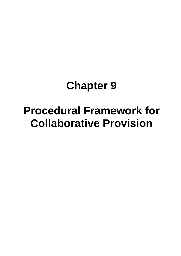# **Chapter 9**

# **Procedural Framework for Collaborative Provision**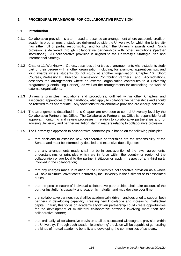# **9. PROCEDURAL FRAMEWORK FOR COLLABORATIVE PROVISION**

## **9.1 Introduction**

- 9.1.1 Collaborative provision is a term used to describe an arrangement where academic credit or academic programmes of study are delivered outside the University, for which the University has either full or partial responsibility, and for which the University awards credit. Such provision is delivered through collaborative partnerships with other institutions ('partner institutions'). All collaborative provision is aligned to the University's Strategic Plan and International Strategy.
- 9.1.2 Chapter 11, Working with Others, describes other types of arrangements where students study part of their degree with another organisation including, for example, apprenticeships, and joint awards where students do not study at another organisation. Chapter 10, (Short Courses, Professional Practice Framework, Contributing Partners and Accreditation), describes the arrangements where an external organisation contributes to a University programme (Contributing Partner), as well as the arrangements for accrediting the work of external organisations.
- 9.1.3 University principles, regulations and procedures, outlined within other Chapters and associated appendices of this handbook, also apply to collaborative partnerships and should be referred to as appropriate. Any variations for collaborative provision are clearly indicated.
- 9.1.4 The arrangements described in this Chapter are overseen at central University level by the Collaborative Partnerships Office. The Collaborative Partnerships Office is responsible for all approval, monitoring and review processes in relation to collaborative partnerships and for advising University and partner institution staff in matters relating to collaborative provision.
- 9.1.5 The University's approach to collaborative partnerships is based on the following principles:
	- that decisions to establish new collaborative partnerships are the responsibility of the Senate and must be informed by detailed and extensive due diligence;
	- that any arrangements made shall not be in contravention of the laws, agreements, understandings or principles which are in force within the country or region of the collaboration or are local to the partner institution or apply in respect of any third party involved in the collaboration;
	- that any charges made in relation to the University's collaborative provision as a whole will, as a minimum, cover costs incurred by the University in the fulfilment of its associated duties;
	- that the precise nature of individual collaborative partnerships shall take account of the partner institution's capacity and academic maturity, and may develop over time;
	- that collaborative partnerships shall be academically-driven, and designed to support both partners in developing capability, creating new knowledge and increasing intellectual capital. In turn, this focus on academically-driven partnership could create opportunities for the development of multilateral collaborative networks involving more than one collaborative partner;
	- that, ordinarily, all collaborative provision shall be associated with cognate provision within the University. Through such 'academic anchoring' provision will be capable of generating the kinds of mutual academic benefit, and developing the communities of scholars.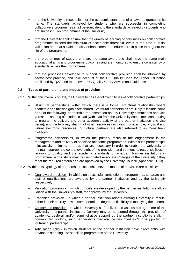- that the University is responsible for the academic standards of all awards granted in its name. The standards achieved by students who are successful in completing collaborative programmes shall be equivalent to the standards achieved by students who are successful on programmes at the University;
- that the University shall ensure that the quality of learning opportunities on collaborative programmes exceed the minimum of acceptable threshold levels at the time of initial validation and that suitable quality enhancement procedures are in place throughout the life of the programme;
- that programmes of study that share the same award title shall have the same main educational aims and programme outcomes and are monitored to ensure consistency of standards across the programmes;
- that the processes developed to support collaborative provision shall be informed by sector best practice, and take account of the UK Quality Code for Higher Education published by QAA and the relevant UK Quality Code**,** Advice and Guidance.

## **9.2 Types of partnership and modes of provision**

- 9.2.1 Within this overall context, the University has the following types of collaborative partnerships:
	- Structural partnerships, within which there is a formal, structural relationship where academic and mission goals are shared. Structural partnerships are likely to include some or all of the following: partnership representation on key University committees and vice versa; the sharing of academic staff (with staff from the University sometimes contributing to programme delivery and other academic activity at the partner institution and vice versa); and the two-way sharing of other resources (including, for example, physical and virtual electronic resources). Structural partners are also referred to as Constituent Colleges.
	- Programme partnerships, in which the primary focus of the engagement is the management and delivery of specified academic programmes. Within such partnerships, joint activity is limited to areas that are necessary in order to enable the University to maintain appropriate central oversight of the provision, and so meet its responsibilities in relation to quality and the academic standards of awards. Partner institutions in programme partnerships may be designated Associate Colleges of the University if they meet the required criteria and are approved by the University Council (Appendix CP13).
- 9.2.2 Within this typology of partnership relationship, several modes of provision are possible:
	- Dual award provision in which, on successful completion of programmes, separate and distinct qualifications are awarded by the partner institution and by the University respectively.
	- Validation provision in which curricula are developed by the partner institution's staff, in liaison with the University's staff, for approval by the University.
	- Franchise provision in which a partner institution adopts existing University curricula, either in their entirety or with some permitted degree of flexibility in modifying the content.
	- Off-campus provision in which University staff deliver and assess a programme of the University in a partner institution. Delivery may be supported through the provision of academic, pastoral and/or administrative support by the partner institution's staff. In common terminology, such partnerships may also be described as 'tutor-supported' or 'outreach' partnerships.
	- Articulation links in which students at the partner institution have direct entry with advanced standing into specified programmes of the University.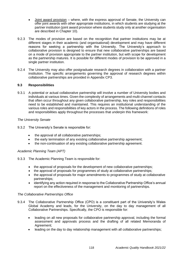- Joint award provision where, with the express approval of Senate, the University can offer joint awards with other appropriate institutions, in which students are studying at the partner institution (joint award provision where students study only at another organisation are described in Chapter 10).
- 9.2.3 The modes of provision are based on the recognition that partner institutions may be at different stages in their academic (and organisational) development and may have different reasons for seeking a partnership with the University. The University's approach to collaborative provision is designed to ensure that new collaborative partnerships are based on a mode of provision appropriate to the partner institution, but with scope for development as the partnership matures. It is possible for different modes of provision to be approved in a single partner institution.
- 9.2.4 The University may also offer postgraduate research degrees in collaboration with a partner institution. The specific arrangements governing the approval of research degrees within collaborative partnerships are provided in Appendix CP3.

## **9.3 Responsibilities**

9.3.1 A potential or actual collaborative partnership will involve a number of University bodies and individuals at various times. Given the complexity of arrangements and multi-channel contacts that often occur throughout any given collaborative partnership, key roles and responsibilities need to be established and maintained. This requires an institutional understanding of the various roles and responsibilities of key actors in the process. The following definitions of roles and responsibilities apply throughout the processes that underpin this framework:

## *The University Senate*

- 9.3.2 The University's Senate is responsible for:
	- the approval of all collaborative partnerships;
	- the early termination of any existing collaborative partnership agreement;
	- the non-continuation of any existing collaborative partnership agreement.

## *Academic Planning Team (APT)*

- 9.3.3 The Academic Planning Team is responsible for:
	- the approval of proposals for the development of new collaborative partnerships;
	- the approval of proposals for programmes of study at collaborative partnerships;
	- the approval of proposals for major amendments to programmes of study at collaborative partnerships;
	- identifying any action required in response to the Collaborative Partnership Office's annual report on the effectiveness of the management and monitoring of partnerships.

## *The Collaborative Partnerships Office*

- 9.3.4 The Collaborative Partnership Office (CPO) is a constituent part of the University's Wales Global Academy and leads, for the University, on the day to day management of all Collaborative Partnerships. Specifically, the CPO is responsible for:
	- leading on all new proposals for collaborative partnership approval, including the formal assessment and approvals process and the drafting of all related Memoranda of Agreement;
	- leading on the day to day relationship management with all collaborative partnerships;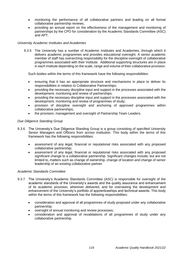- monitoring the performance of all collaborative partners and leading on all formal collaborative partnership reviews;
- providing an annual report on the effectiveness of the management and monitoring of partnerships by the CPO for consideration by the Academic Standards Committee (ASC) and APT.

## *University Academic Institutes and Academies*

9.3.5 The University has a number of Academic Institutes and Academies, through which it delivers academic programmes and provides educational oversight. A senior academic member of staff has overarching responsibility for the discipline oversight of collaborative programmes associated with their Institute. Additional supporting structures are in place in each Institute depending on the scale, range and volume of their collaborative provision.

Such bodies within the terms of this framework have the following responsibilities:

- ensuring that it has an appropriate structure and mechanisms in place to deliver its responsibilities in relation to Collaborative Partnerships;
- providing the necessary discipline input and support in the processes associated with the development, monitoring and review of partnerships;
- providing the necessary discipline input and support in the processes associated with the development, monitoring and review of programmes of study;
- provision of discipline oversight and anchoring of approved programmes within collaborative partnerships;
- the provision, management and oversight of Partnership Team Leaders.

## *Due Diligence Standing Group*

- 9.3.6 The University's Due Diligence Standing Group is a group consisting of specified University Senior Managers and Officers from across institution. This body within the terms of this framework has the following responsibilities:
	- assessment of any legal, financial or reputational risks associated with any proposed collaborative partnership;
	- assessment of any legal, financial or reputational risks associated with any proposed significant change to a collaborative partnership. Significant changes include, but are not limited to, matters such as change of ownership, change of location and change of senior leadership of an existing collaborative partner.

## *Academic Standards Committee*

- 9.3.7 The University's Academic Standards Committee (ASC) is responsible for oversight of the academic standards of the University's awards and the quality assurance and enhancement of its academic provision, wherever delivered, and for overseeing the development and enhancement of the University's portfolio of apprenticeships and technical awards. This body within the terms of this framework has the following responsibilities:
	- consideration and approval of all programmes of study proposed under any collaborative partnership;
	- oversight of annual monitoring and review processes;
	- consideration and approval of revalidations of all programmes of study under any collaborative partnership.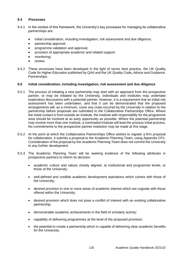## **9.4 Processes**

- 9.4.1 In the context of this framework, the University's key processes for managing its collaborative partnerships are:
	- initial consideration, including investigation, risk assessment and due diligence;
	- partnership approval;
	- programme validation and approval;
	- provision of appropriate academic and related support;
	- monitoring;
	- review.
- 9.4.2 These processes have been developed in the light of sector best practice, the UK Quality Code for Higher Education published by QAA and the UK Quality Code**,** Advice and Guidance: Partnerships.

## **9.5 Initial consideration, including investigation, risk assessment and due diligence**

- 9.5.1 The process of initiating a new partnership may start with an approach from the prospective partner, or may be initiated by the University. Individuals and Institutes may undertake exploratory discussions with a potential partner, however, it is a requirement that an initial risk assessment has been undertaken, and that it can be demonstrated that the proposed arrangements will, as a minimum, cover any costs incurred by the University in relation to the partnership before proposals are submitted to the Collaborative Partnerships Office. Where the initial contact is from outside an Institute, the Institute with responsibility for the programme area should be involved at as early opportunity as possible. Where the potential partnership may involve more than one Institute, a nominated Institute will lead the process initial process. No commitments to the prospective partner institution may be made at this stage.
- 9.5.2 At the point at which the Collaborative Partnerships Office wishes to register a firm proposal for collaboration, it submits a proposal to the Academic Planning Team, using Appendix CP1. Consideration of the proposal by the Academic Planning Team does not commit the University to any further development.
- 9.5.3 The Academic Planning Team will be seeking evidence of the following attributes in prospective partners to inform its decision:
	- academic culture and values closely aligned, at institutional and programme levels, to those of the University;
	- well-defined and credible academic development aspirations which cohere with those of the University;
	- desired provision in one or more areas of academic interest which are cognate with those offered within the University;
	- desired provision which does not pose a conflict of interest with an existing collaborative partnership;
	- demonstrable academic achievements in the field of scholarly activity;
	- capability of delivering programmes at the level of the proposed provision;
	- the potential to create a partnership which is capable of delivering clear academic benefits for the University;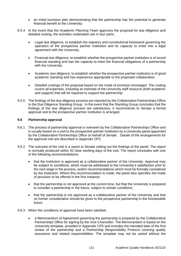- an initial business plan demonstrating that the partnership has the potential to generate financial benefit to the University;
- 9.5.4 In the event that the Academic Planning Team approves the proposal for due diligence and detailed costing, the activities undertaken are in four parts:
	- Legal due diligence, to establish the statutory and constitutional framework governing the operation of the prospective partner institution and its capacity to enter into a legal agreement with the University.
	- Financial due diligence, to establish whether the prospective partner institution is of sound financial standing and has the capacity to meet the financial obligations of a partnership with the University.
	- Academic due diligence, to establish whether the prospective partner institution is of good academic standing and has experience appropriate to the proposed collaboration.
	- Detailed costings of the proposal based on the mode of provision envisaged. The costing covers all expenses, including an estimate of the University staff resource (both academic and support) that will be required to support the partnership.
- 9.5.5 The findings of the due diligence process are reported by the Collaborative Partnerships Office to the Due Diligence Standing Group. In the event that the Standing Group concludes that the findings of the due diligence process are satisfactory, it recommends to Senate a formal approval visit to the prospective partner institution is arranged.

## **9.6 Partnership approval**

- 9.6.1 The process of partnership approval is overseen by the Collaborative Partnerships Office and is usually based on a visit to the prospective partner institution by a University panel appointed by the Collaborative Partnerships Office on behalf of Senate. Details of the arrangements for the approval visit are described in Appendix CP2.
- 9.6.2 The outcome of the visit is a report to Senate setting out the findings of the panel. The report is normally produced within 20 clear working days of the visit. The report concludes with one of the following recommendations:
	- that the institution is approved as a collaborative partner of the University. Approval may be subject to conditions, which must be addressed to the University's satisfaction prior to the next stage in the process, and/or recommendations which must be formally considered by the institution. Where this recommendation is made, the panel also specifies the mode of provision to be offered in the first instance;
	- that the partnership is not approved at the current time, but that the University is prepared to consider a partnership in the future, subject to certain conditions;
	- that the partnership is not approved as a collaborative partner of the University and that no further consideration should be given to the prospective partnership in the foreseeable future.
- 9.6.3 When the conditions of approval have been satisfied:
	- a Memorandum of Agreement governing the partnership is prepared by the Collaborative Partnerships Office for signing by the Vice-Chancellor. The Memorandum is based on the University template, provided in Appendix CP5 and includes the intended date of the first review of the partnership and a Partnership Responsibility Protocol covering quality assurance and related responsibilities. The template may not be varied without the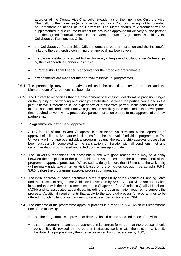approval of the Deputy Vice-Chancellor (Academic) or their nominee. Only the Vice-Chancellor or their nominee (which may be the Chair of Council) may sign a Memorandum of Agreement on behalf of the University. The Memorandum of Agreement will be supplemented in due course to reflect the provision approved for delivery by the partner and the agreed financial schedule. The Memorandum of Agreement is held by the Collaborative Partnerships Office;

- the Collaborative Partnerships Office informs the partner institution and the Institute(s) linked to the partnership confirming that approval has been given;
- the partner institution is added to the University's Register of Collaborative Partnerships by the Collaborative Partnerships Office;
- a Partnership Team Leader is appointed for the proposed programme(s);
- arrangements are made for the approval of individual programmes.
- 9.6.4 The partnership may not be advertised until the conditions have been met and the Memorandum of Agreement has been signed.
- 9.6.5 The University recognises that the development of successful collaborative provision hinges on the quality of the working relationships established between the parties concerned in the joint initiative. Differences in the experience of prospective partner institutions and in their internal academic and administrative organisation are likely to be reflected in the development time required to work with a prospective partner institution prior to formal approval of the new partnership.

## **9.7 Programme validation and approval**

- 9.7.1 A key feature of the University's approach to collaborative provision is the separation of approval of collaborative partner institutions from the approval of individual programmes. The University will not approve individual programmes until the partnership approval process has been successfully completed to the satisfaction of Senate, with all conditions met and recommendations considered and acted upon where appropriate.
- 9.7.2 The University recognises that occasionally and with good reason there may be a delay between the completion of the partnership approval process and the commencement of the programme approval processes. Where such a delay is more than 18 months, the University will normally undertake a further visit, based on the principles set out in paragraphs 9.6.1- 9.6.6, before the programme approval process commences.
- 9.7.3 The initial approval of new programmes is the responsibility of the Academic Planning Team and the process of programme validation is overseen by ASC. Both activities are undertaken in accordance with the requirements set out in Chapter 4 of the Academic Quality Handbook (AQH) and its associated appendices, including the documentation required to support the process. Additional requirements that apply to the approval process for programmes to be offered through collaborative partnerships are described in Appendix CP4.
- 9.7.4 The outcome of the programme approval process is a report to ASC which will recommend one of the following:
	- that the programme is approved for delivery, based on the specified mode of provision.
	- that the programme cannot be approved in its current form, but that the proposal should be significantly revised by the partner institution, working with the relevant University Institute. The proposal may then be re-presented for consideration by ASC;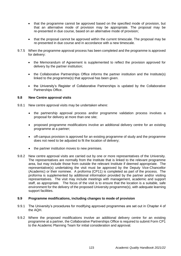- that the programme cannot be approved based on the specified mode of provision, but that an alternative mode of provision may be appropriate. The proposal may be re-presented in due course, based on an alternative mode of provision;
- that the proposal cannot be approved within the current timescale. The proposal may be re-presented in due course and in accordance with a new timescale.
- 9.7.5 When the programme approval process has been completed and the programme is approved for delivery:
	- the Memorandum of Agreement is supplemented to reflect the provision approved for delivery by the partner institution;
	- the Collaborative Partnerships Office informs the partner institution and the Institute(s) linked to the programme(s) that approval has been given.
	- the University's Register of Collaborative Partnerships is updated by the Collaborative Partnerships Office.

#### **9.8 New Centre approval visits**

- 9.8.1 New centre approval visits may be undertaken where:
	- the partnership approval process and/or programme validation process involves a proposal for delivery at more than one site;
	- proposed programme modifications involve an additional delivery centre for an existing programme at a partner;
	- off-campus provision is approved for an existing programme of study and the programme does not need to be adjusted to fit the location of delivery;
	- the partner institution moves to new premises.
- 9.8.2 New centre approval visits are carried out by one or more representatives of the University. The representatives are normally from the Institute that is linked to the relevant programme area, but may include those from outside the relevant Institute if deemed appropriate. The representative(s) undertaking the visit must be approved by the Deputy Vice-Chancellor (Academic) or their nominee. A proforma (CP11) is completed as part of the process. The proforma is supplemented by additional information provided by the partner and/or visiting representatives. The visit may include meetings with management, academic and support staff, as appropriate. The focus of the visit is to ensure that the location is a suitable, safe environment for the delivery of the proposed University programme(s), with adequate learning support facilities.

## **9.9 Programme modifications, including changes to mode of provision**

- 9.9.1 The University's procedures for modifying approved programmes are set out in Chapter 4 of the AQH.
- 9.9.2 Where the proposed modifications involve an additional delivery centre for an existing programme at a partner, the Collaborative Partnerships Office is required to submit Form CP1 to the Academic Planning Team for initial consideration and approval.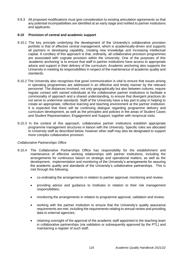9.9.3 All proposed modifications must give consideration to existing articulation agreements so that any potential incompatibilities are identified at an early stage and notified to partner institutions and applicants.

#### **9.10 Provision of central and academic support**

- 9.10.1 The key principle underlying the development of the University's collaborative provision portfolio is that of effective central management, which is academically-driven and supports all partners in developing capability, creating new knowledge and increasing intellectual capital. A corollary of this approach is that, ordinarily, all collaborative provision programmes are associated with cognate provision within the University. One of the purposes of this 'academic anchoring' is to ensure that staff in partner institutions have access to appropriate advice and support in their delivery of the curriculum. Academic anchoring also supports the University in meeting its responsibilities in respect of the maintenance of academic quality and standards.
- 9.10.2 The University also recognises that good communication is vital to ensure that issues arising in operating programmes are addressed in an effective and timely manner by the relevant personnel. The distances involved, not only geographically but also between cultures, require regular contact with named individuals at the collaborative partner institutions to facilitate a commonality of approach and a shared understanding, to ensure that divergent practices do not serve to undermine standards. Staff of the University have a key part to play in helping to create an appropriate, reflective learning and teaching environment at the partner institution. It is expected that there will be continuing dialogue regarding programme delivery and curriculum development, as well as the principles and policies in the areas of Student Cases and Student Representation, Engagement and Support, together with reciprocal visits.
- 9.10.3 In the context of this approach, collaborative partner institutions establish appropriate programme management structures in liaison with the University. Specific roles are allocated to University staff as described below, however other staff may also be designated to support more complex collaborative provision:

#### *Collaborative Partnerships Office*

- 9.10.4 The Collaborative Partnerships Office has responsibility for the establishment and maintenance of effective working relationships with partner institutions, including the arrangements for continuous liaison on strategic and operational matters, as well as the development, implementation and monitoring of the University's arrangements for assuring the academic quality and standards of the University's collaborative partnerships. This is met through the following:
	- co-ordinating the arrangements in relation to partner approval, monitoring and review;
	- providing advice and guidance to Institutes in relation to their risk management responsibilities;
	- monitoring the arrangements in relation to programme approval, validation and review;
	- working with the partner institution to ensure that the University's quality assurance requirements are met, including the requirements relating to annual review and providing data to external agencies;
	- retaining oversight of the approval of the academic staff appointed to the teaching team in collaborative partnerships (via validation or subsequently approved by the PTL) and maintaining a register of such staff;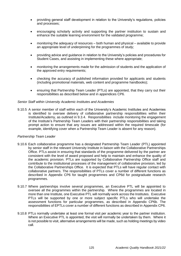- providing general staff development in relation to the University's regulations, policies and processes;
- encouraging scholarly activity and supporting the partner institution to sustain and enhance the suitable learning environment for the validated programme;
- monitoring the adequacy of resources both human and physical available to provide an appropriate level of underpinning for the programmes of study;
- providing advice and guidance in relation to the University's policies and procedures for Student Cases, and assisting in implementing these where appropriate;
- monitoring the arrangements made for the admission of students and the application of the approved entry requirements;
- checking the accuracy of published information provided for applicants and students (including promotional materials, web content and programme handbooks);
- ensuring that Partnership Team Leader (PTLs) are appointed, that they carry out their responsibilities as described below and in appendices CP6.

#### *Senior Staff within University Academic Institutes and Academies*

9.10.5 A senior member of staff within each of the University's Academic Institutes and Academies is identified to oversee delivery of collaborative partnership responsibilities within their Institute/Academy, as outlined in 9.3.4. Responsibilities include monitoring the engagement of the Institute's Partnership Team Leaders with their partnership responsibilities and taking prompt action to ensure that any issues are addressed within the required timescale (for example, identifying cover when a Partnership Team Leader is absent for any reason).

#### *Partnership Team Leader*

- 9.10.6 Each collaborative programme has a designated Partnership Team Leader (PTL) appointed by senior staff in the relevant University Institute in liaison with the Collaborative Partnerships Office. PTLs assist in ensuring that standards of the programme delivered by the partner are consistent with the level of award proposed and help to maintain and enhance the quality of the academic provision. PTLs are supported by Collaborative Partnership Office staff and contribute to the institutional processes of the management of collaborative provision, led by the Collaborative Partnerships Office. It is expected that PTLs will have regular contact with collaborative partners. The responsibilities of PTLs cover a number of different functions as described in Appendix CP6 for taught programmes and CP6d for postgraduate research programmes.
- 9.10.7 Where partnerships involve several programmes, an Executive PTL will be appointed to oversee all the programmes within the partnership. Where the programmes are located in more than one Institute, one Executive PTL will normally work across the Institutes. Executive PTLs will be supported by one or more subject specific PTLs who will undertake the assessment functions for particular programmes, as described in Appendix CP6b. The responsibilities of EPTLs cover a number of different functions as described in Appendix CP6.
- 9.10.8 PTLs normally undertake at least one formal visit per academic year to the partner institution. Where an Executive PTL is appointed, the visit will normally be undertaken by them. Where it is not possible to visit, alternative arrangements will be made, such as holding meetings by video call.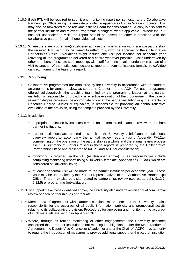- 9.10.9 Each PTL will be required to submit one monitoring report per semester to the Collaborative Partnerships Office, using the template provided in Appendices CP6a/c/e as appropriate. This may also be forwarded to the relevant Institute Board for consideration. A copy is also sent to the partner institution and relevant Programme Managers, where applicable. Where the PTL has not undertaken a visit, the report should be based on other interactions with the collaborative partner (email, phone, video calls etc.)
- 9.10.10 Where there are programme(s) delivered at more than one location within a single partnership, the required PTL visit may be varied to reflect this, with the approval of the Collaborative Partnerships Office. Variations might include one visit per location per academic year (covering all the programmes delivered at a centre wherever possible); visits undertaken by other members of Institute staff; meetings with staff from one location undertaken as part of a visit to another of the institutions' locations; reports of communications (emails, voice/video calls etc.) forming the basis of a report.

## **9.11 Monitoring**

- 9.11.1 Collaborative programmes are monitored by the University in accordance with its standard arrangements for annual review, as set out in Chapter 4 of the AQH. For each programme offered collaboratively, the teaching team, led by the programme leader, at the partner institution is responsible for providing a reflective evaluation of the programme. In the case of research degree provision, the appropriate officer at the partner institution (e.g. the Director of Research Degree Studies or equivalent) is responsible for providing an annual reflective evaluation of the provision, using the template provided by the University.
- 9.11.2 In addition:
	- appropriate reflection by Institutes is made on matters raised in annual review reports from partner institutions;
	- partner institutions are required to submit to the University a brief annual institutional overview report to accompany the annual review reports (using Appendix PV12a), commenting on the operation of the partnership as a whole and the annual review process itself. A summary of matters raised in these reports is prepared by the Collaborative Partnerships Office and presented to IACPC and ASC for consideration;
	- monitoring is provided via the PTL (as described above). Their responsibilities include completing monitoring reports using a University template (Appendices CP6 a/c), which are considered at University level;
	- at least one formal visit will be made to the partner institution per academic year. These visits may be undertaken by the PTLs or representatives of the Collaborative Partnerships Office. There may also be visits related to partnerships review (see paragraphs 9.12.1- 9.12.5) or programme (re)validation.
- 9.11.3 To support the activities identified above, the University also undertakes an annual commercial review of each partnership, as appropriate.
- 9.11.4 Memoranda of agreement with partner institutions make clear that the University retains responsibility for the accuracy of all public information, publicity and promotional activity relating to its collaborative provision. Procedures for approving and monitoring the accuracy of such materials are set out in Appendix CP7.
- 9.11.5 Where, through its routine monitoring or other engagements, the University becomes concerned that a partner institution is not meeting its obligations under the Memorandum of Agreement, the Deputy Vice-Chancellor (Academic) and/or the Chair of IACPC, has authority to require the introduction of measures to provide additional support for the partner institution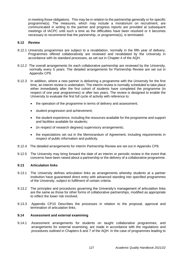in meeting those obligations. This may be in relation to the partnership generally or for specific programme(s). The measures, which may include a moratorium on recruitment, are communicated in writing to the partner and progress reports are provided at subsequent meetings of IACPC until such a time as the difficulties have been resolved or it becomes necessary to recommend that the partnership, or programme(s), is terminated.

#### **9.12 Review**

- 9.12.1 University programmes are subject to a revalidation, normally in the fifth year of delivery. Programmes offered collaboratively are reviewed and revalidated by the University in accordance with its standard processes, as set out in Chapter 4 of the AQH.
- 9.12.2 The overall arrangements for each collaborative partnership are reviewed by the University, normally every 5 years. The detailed arrangements for Partnership Review are set out in Appendix CP9.
- 9.12.3 In addition, where a new partner is delivering a programme with the University for the first time, an interim review is undertaken. The interim review is normally scheduled to take place either immediately after the first cohort of students have completed the programme (in respect of one year programmes) or after two years. The review is designed to enable the University to evaluate the first full cycle of activity with reference to:
	- the operation of the programme in terms of delivery and assessment;
	- student progression and achievement;
	- the student experience, including the resources available for the programme and support and facilities available for students;
	- (in respect of research degrees) supervisory arrangements;
	- the expectations set out in the Memorandum of Agreement, including requirements in respect of public information and publicity.
- 9.12.4 The detailed arrangements for Interim Partnership Review are set out in Appendix CP8.
- 9.12.5 The University may bring forward the date of an interim or periodic review in the event that concerns have been raised about a partnership or the delivery of a collaborative programme.

#### **9.13 Articulation links**

- 9.13.1 The University defines articulation links as arrangements whereby students at a partner institution have guaranteed direct entry with advanced standing into specified programmes of the University, subject to fulfilment of certain criteria.
- 9.13.2 The principles and procedures governing the University's management of articulation links are the same as those for other forms of collaborative partnerships, modified as appropriate to reflect the lower risk involved.
- 9.13.3 Appendix CP10 Describes the processes in relation to the proposal, approval and termination of articulation links.

#### **9.14 Assessment and external examining**

9.14.1 Assessment arrangements for students on taught collaborative programmes, and arrangements for external examining, are made in accordance with the regulations and procedures outlined in Chapters 6 and 7 of the AQH. In the case of programmes leading to